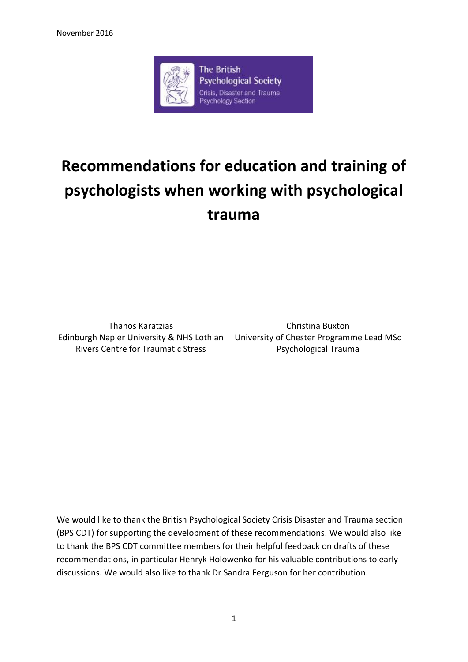

# **Recommendations for education and training of psychologists when working with psychological trauma**

Thanos Karatzias Edinburgh Napier University & NHS Lothian Rivers Centre for Traumatic Stress

Christina Buxton University of Chester Programme Lead MSc Psychological Trauma

We would like to thank the British Psychological Society Crisis Disaster and Trauma section (BPS CDT) for supporting the development of these recommendations. We would also like to thank the BPS CDT committee members for their helpful feedback on drafts of these recommendations, in particular Henryk Holowenko for his valuable contributions to early discussions. We would also like to thank Dr Sandra Ferguson for her contribution.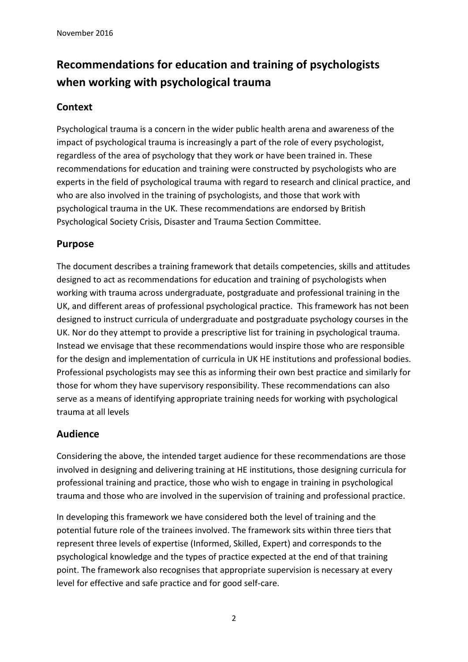## **Recommendations for education and training of psychologists when working with psychological trauma**

### **Context**

Psychological trauma is a concern in the wider public health arena and awareness of the impact of psychological trauma is increasingly a part of the role of every psychologist, regardless of the area of psychology that they work or have been trained in. These recommendations for education and training were constructed by psychologists who are experts in the field of psychological trauma with regard to research and clinical practice, and who are also involved in the training of psychologists, and those that work with psychological trauma in the UK. These recommendations are endorsed by British Psychological Society Crisis, Disaster and Trauma Section Committee.

### **Purpose**

The document describes a training framework that details competencies, skills and attitudes designed to act as recommendations for education and training of psychologists when working with trauma across undergraduate, postgraduate and professional training in the UK, and different areas of professional psychological practice. This framework has not been designed to instruct curricula of undergraduate and postgraduate psychology courses in the UK. Nor do they attempt to provide a prescriptive list for training in psychological trauma. Instead we envisage that these recommendations would inspire those who are responsible for the design and implementation of curricula in UK HE institutions and professional bodies. Professional psychologists may see this as informing their own best practice and similarly for those for whom they have supervisory responsibility. These recommendations can also serve as a means of identifying appropriate training needs for working with psychological trauma at all levels

### **Audience**

Considering the above, the intended target audience for these recommendations are those involved in designing and delivering training at HE institutions, those designing curricula for professional training and practice, those who wish to engage in training in psychological trauma and those who are involved in the supervision of training and professional practice.

In developing this framework we have considered both the level of training and the potential future role of the trainees involved. The framework sits within three tiers that represent three levels of expertise (Informed, Skilled, Expert) and corresponds to the psychological knowledge and the types of practice expected at the end of that training point. The framework also recognises that appropriate supervision is necessary at every level for effective and safe practice and for good self-care.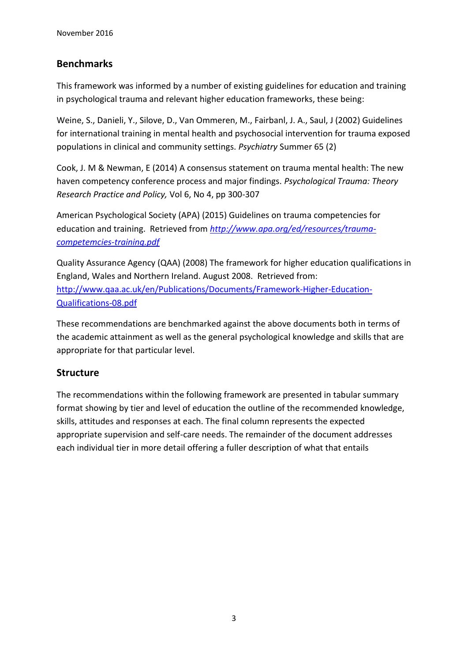### **Benchmarks**

This framework was informed by a number of existing guidelines for education and training in psychological trauma and relevant higher education frameworks, these being:

Weine, S., Danieli, Y., Silove, D., Van Ommeren, M., Fairbanl, J. A., Saul, J (2002) Guidelines for international training in mental health and psychosocial intervention for trauma exposed populations in clinical and community settings. *Psychiatry* Summer 65 (2)

Cook, J. M & Newman, E (2014) A consensus statement on trauma mental health: The new haven competency conference process and major findings. *Psychological Trauma: Theory Research Practice and Policy,* Vol 6, No 4, pp 300-307

American Psychological Society (APA) (2015) Guidelines on trauma competencies for education and training. Retrieved from *[http://www.apa.org/ed/resources/trauma](http://www.apa.org/ed/resources/trauma-competemcies-training.pdf)[competemcies-training.pdf](http://www.apa.org/ed/resources/trauma-competemcies-training.pdf)*

Quality Assurance Agency (QAA) (2008) The framework for higher education qualifications in England, Wales and Northern Ireland. August 2008. Retrieved from: [http://www.qaa.ac.uk/en/Publications/Documents/Framework-Higher-Education-](http://www.qaa.ac.uk/en/Publications/Documents/Framework-Higher-Education-Qualifications-08.pdf)[Qualifications-08.pdf](http://www.qaa.ac.uk/en/Publications/Documents/Framework-Higher-Education-Qualifications-08.pdf)

These recommendations are benchmarked against the above documents both in terms of the academic attainment as well as the general psychological knowledge and skills that are appropriate for that particular level.

### **Structure**

The recommendations within the following framework are presented in tabular summary format showing by tier and level of education the outline of the recommended knowledge, skills, attitudes and responses at each. The final column represents the expected appropriate supervision and self-care needs. The remainder of the document addresses each individual tier in more detail offering a fuller description of what that entails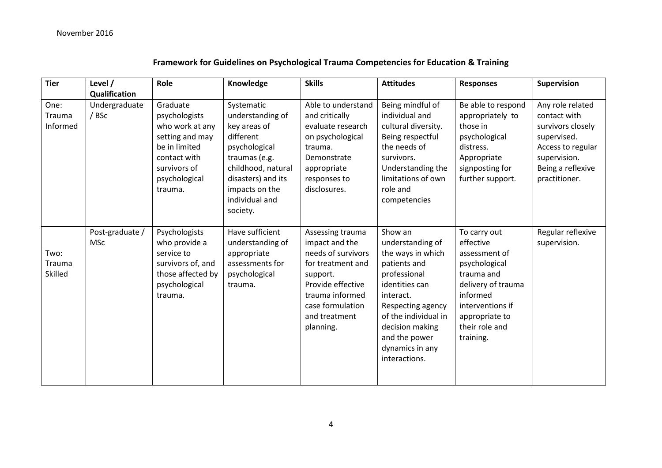### **Framework for Guidelines on Psychological Trauma Competencies for Education & Training**

| <b>Tier</b>                      | Level /                       | Role                                                                                                                                         | Knowledge                                                                                                                                                                                 | <b>Skills</b>                                                                                                                                                                       | <b>Attitudes</b>                                                                                                                                                                                                                     | <b>Responses</b>                                                                                                                                                                 | Supervision                                                                                                                                     |
|----------------------------------|-------------------------------|----------------------------------------------------------------------------------------------------------------------------------------------|-------------------------------------------------------------------------------------------------------------------------------------------------------------------------------------------|-------------------------------------------------------------------------------------------------------------------------------------------------------------------------------------|--------------------------------------------------------------------------------------------------------------------------------------------------------------------------------------------------------------------------------------|----------------------------------------------------------------------------------------------------------------------------------------------------------------------------------|-------------------------------------------------------------------------------------------------------------------------------------------------|
|                                  | Qualification                 |                                                                                                                                              |                                                                                                                                                                                           |                                                                                                                                                                                     |                                                                                                                                                                                                                                      |                                                                                                                                                                                  |                                                                                                                                                 |
| One:<br>Trauma<br>Informed       | Undergraduate<br>/ BSc        | Graduate<br>psychologists<br>who work at any<br>setting and may<br>be in limited<br>contact with<br>survivors of<br>psychological<br>trauma. | Systematic<br>understanding of<br>key areas of<br>different<br>psychological<br>traumas (e.g.<br>childhood, natural<br>disasters) and its<br>impacts on the<br>individual and<br>society. | Able to understand<br>and critically<br>evaluate research<br>on psychological<br>trauma.<br>Demonstrate<br>appropriate<br>responses to<br>disclosures.                              | Being mindful of<br>individual and<br>cultural diversity.<br>Being respectful<br>the needs of<br>survivors.<br>Understanding the<br>limitations of own<br>role and<br>competencies                                                   | Be able to respond<br>appropriately to<br>those in<br>psychological<br>distress.<br>Appropriate<br>signposting for<br>further support.                                           | Any role related<br>contact with<br>survivors closely<br>supervised.<br>Access to regular<br>supervision.<br>Being a reflexive<br>practitioner. |
| Two:<br>Trauma<br><b>Skilled</b> | Post-graduate /<br><b>MSc</b> | Psychologists<br>who provide a<br>service to<br>survivors of, and<br>those affected by<br>psychological<br>trauma.                           | Have sufficient<br>understanding of<br>appropriate<br>assessments for<br>psychological<br>trauma.                                                                                         | Assessing trauma<br>impact and the<br>needs of survivors<br>for treatment and<br>support.<br>Provide effective<br>trauma informed<br>case formulation<br>and treatment<br>planning. | Show an<br>understanding of<br>the ways in which<br>patients and<br>professional<br>identities can<br>interact.<br>Respecting agency<br>of the individual in<br>decision making<br>and the power<br>dynamics in any<br>interactions. | To carry out<br>effective<br>assessment of<br>psychological<br>trauma and<br>delivery of trauma<br>informed<br>interventions if<br>appropriate to<br>their role and<br>training. | Regular reflexive<br>supervision.                                                                                                               |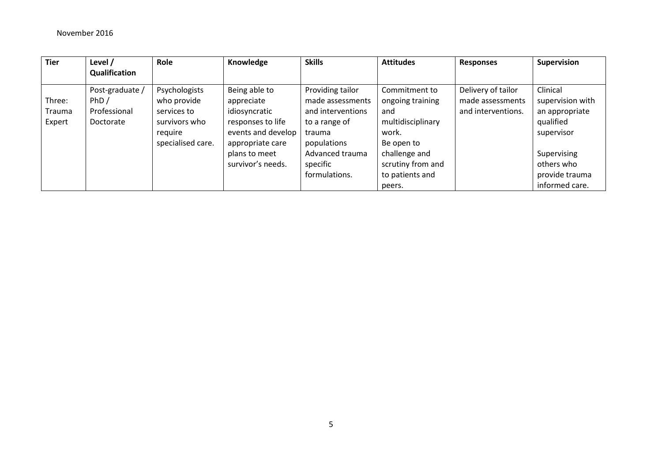| <b>Tier</b>   | Level /         | Role              | Knowledge          | <b>Skills</b>     | <b>Attitudes</b>  | <b>Responses</b>   | Supervision      |
|---------------|-----------------|-------------------|--------------------|-------------------|-------------------|--------------------|------------------|
|               | Qualification   |                   |                    |                   |                   |                    |                  |
|               | Post-graduate / | Psychologists     | Being able to      | Providing tailor  | Commitment to     | Delivery of tailor | Clinical         |
| Three:        | PhD/            | who provide       | appreciate         | made assessments  | ongoing training  | made assessments   | supervision with |
| <b>Trauma</b> | Professional    | services to       | idiosyncratic      | and interventions | and               | and interventions. | an appropriate   |
| Expert        | Doctorate       | survivors who     | responses to life  | to a range of     | multidisciplinary |                    | qualified        |
|               |                 | reguire           | events and develop | trauma            | work.             |                    | supervisor       |
|               |                 | specialised care. | appropriate care   | populations       | Be open to        |                    |                  |
|               |                 |                   | plans to meet      | Advanced trauma   | challenge and     |                    | Supervising      |
|               |                 |                   | survivor's needs.  | specific          | scrutiny from and |                    | others who       |
|               |                 |                   |                    | formulations.     | to patients and   |                    | provide trauma   |
|               |                 |                   |                    |                   | peers.            |                    | informed care.   |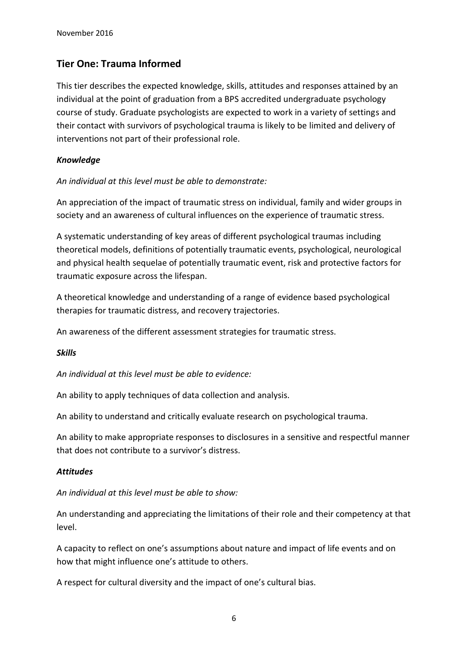### **Tier One: Trauma Informed**

This tier describes the expected knowledge, skills, attitudes and responses attained by an individual at the point of graduation from a BPS accredited undergraduate psychology course of study. Graduate psychologists are expected to work in a variety of settings and their contact with survivors of psychological trauma is likely to be limited and delivery of interventions not part of their professional role.

### *Knowledge*

*An individual at this level must be able to demonstrate:*

An appreciation of the impact of traumatic stress on individual, family and wider groups in society and an awareness of cultural influences on the experience of traumatic stress.

A systematic understanding of key areas of different psychological traumas including theoretical models, definitions of potentially traumatic events, psychological, neurological and physical health sequelae of potentially traumatic event, risk and protective factors for traumatic exposure across the lifespan.

A theoretical knowledge and understanding of a range of evidence based psychological therapies for traumatic distress, and recovery trajectories.

An awareness of the different assessment strategies for traumatic stress.

#### *Skills*

*An individual at this level must be able to evidence:*

An ability to apply techniques of data collection and analysis.

An ability to understand and critically evaluate research on psychological trauma.

An ability to make appropriate responses to disclosures in a sensitive and respectful manner that does not contribute to a survivor's distress.

#### *Attitudes*

#### *An individual at this level must be able to show:*

An understanding and appreciating the limitations of their role and their competency at that level.

A capacity to reflect on one's assumptions about nature and impact of life events and on how that might influence one's attitude to others.

A respect for cultural diversity and the impact of one's cultural bias.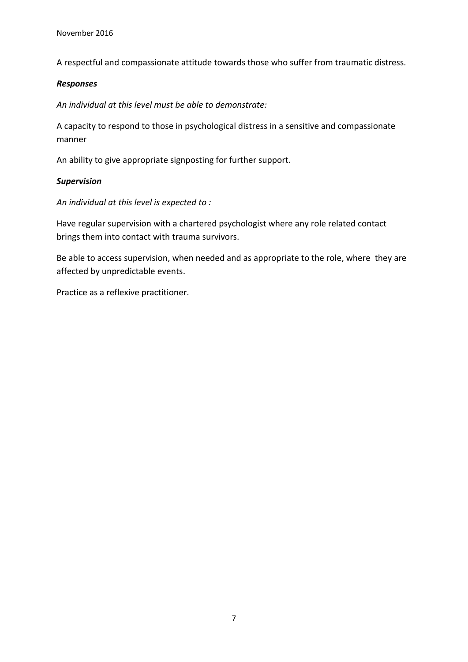A respectful and compassionate attitude towards those who suffer from traumatic distress.

#### *Responses*

*An individual at this level must be able to demonstrate:*

A capacity to respond to those in psychological distress in a sensitive and compassionate manner

An ability to give appropriate signposting for further support.

#### *Supervision*

*An individual at this level is expected to :*

Have regular supervision with a chartered psychologist where any role related contact brings them into contact with trauma survivors.

Be able to access supervision, when needed and as appropriate to the role, where they are affected by unpredictable events.

Practice as a reflexive practitioner.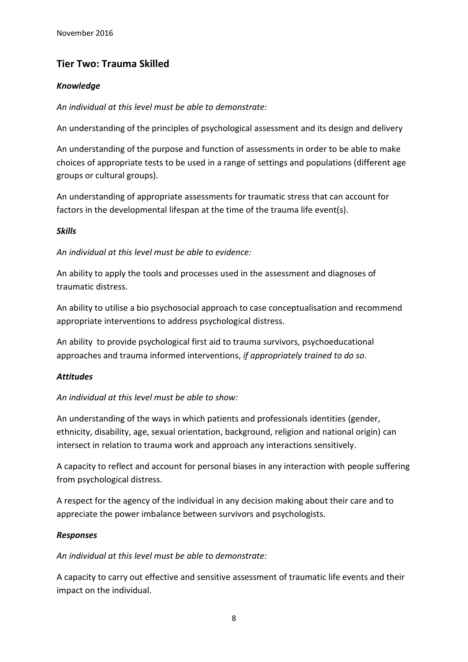### **Tier Two: Trauma Skilled**

### *Knowledge*

*An individual at this level must be able to demonstrate:*

An understanding of the principles of psychological assessment and its design and delivery

An understanding of the purpose and function of assessments in order to be able to make choices of appropriate tests to be used in a range of settings and populations (different age groups or cultural groups).

An understanding of appropriate assessments for traumatic stress that can account for factors in the developmental lifespan at the time of the trauma life event(s).

### *Skills*

*An individual at this level must be able to evidence:*

An ability to apply the tools and processes used in the assessment and diagnoses of traumatic distress.

An ability to utilise a bio psychosocial approach to case conceptualisation and recommend appropriate interventions to address psychological distress.

An ability to provide psychological first aid to trauma survivors, psychoeducational approaches and trauma informed interventions, *if appropriately trained to do so*.

### *Attitudes*

### *An individual at this level must be able to show:*

An understanding of the ways in which patients and professionals identities (gender, ethnicity, disability, age, sexual orientation, background, religion and national origin) can intersect in relation to trauma work and approach any interactions sensitively.

A capacity to reflect and account for personal biases in any interaction with people suffering from psychological distress.

A respect for the agency of the individual in any decision making about their care and to appreciate the power imbalance between survivors and psychologists.

### *Responses*

*An individual at this level must be able to demonstrate:*

A capacity to carry out effective and sensitive assessment of traumatic life events and their impact on the individual.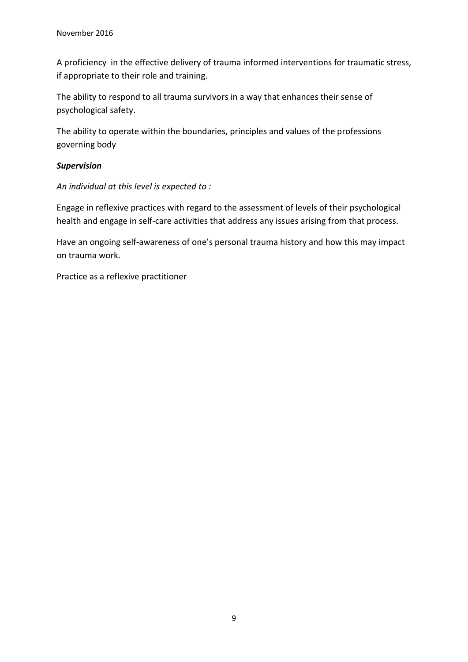A proficiency in the effective delivery of trauma informed interventions for traumatic stress, if appropriate to their role and training.

The ability to respond to all trauma survivors in a way that enhances their sense of psychological safety.

The ability to operate within the boundaries, principles and values of the professions governing body

### *Supervision*

*An individual at this level is expected to :*

Engage in reflexive practices with regard to the assessment of levels of their psychological health and engage in self-care activities that address any issues arising from that process.

Have an ongoing self-awareness of one's personal trauma history and how this may impact on trauma work.

Practice as a reflexive practitioner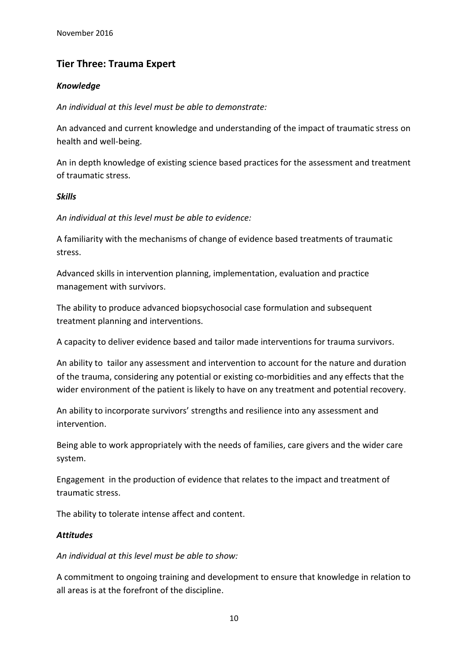### **Tier Three: Trauma Expert**

### *Knowledge*

*An individual at this level must be able to demonstrate:*

An advanced and current knowledge and understanding of the impact of traumatic stress on health and well-being.

An in depth knowledge of existing science based practices for the assessment and treatment of traumatic stress.

#### *Skills*

*An individual at this level must be able to evidence:*

A familiarity with the mechanisms of change of evidence based treatments of traumatic stress.

Advanced skills in intervention planning, implementation, evaluation and practice management with survivors.

The ability to produce advanced biopsychosocial case formulation and subsequent treatment planning and interventions.

A capacity to deliver evidence based and tailor made interventions for trauma survivors.

An ability to tailor any assessment and intervention to account for the nature and duration of the trauma, considering any potential or existing co-morbidities and any effects that the wider environment of the patient is likely to have on any treatment and potential recovery.

An ability to incorporate survivors' strengths and resilience into any assessment and intervention.

Being able to work appropriately with the needs of families, care givers and the wider care system.

Engagement in the production of evidence that relates to the impact and treatment of traumatic stress.

The ability to tolerate intense affect and content.

### *Attitudes*

*An individual at this level must be able to show:*

A commitment to ongoing training and development to ensure that knowledge in relation to all areas is at the forefront of the discipline.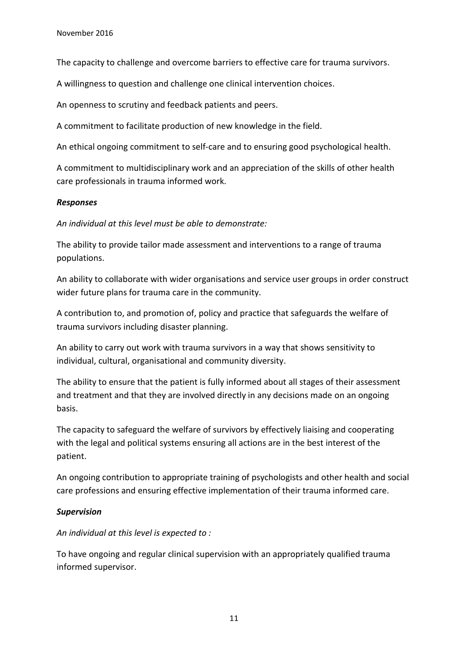The capacity to challenge and overcome barriers to effective care for trauma survivors.

A willingness to question and challenge one clinical intervention choices.

An openness to scrutiny and feedback patients and peers.

A commitment to facilitate production of new knowledge in the field.

An ethical ongoing commitment to self-care and to ensuring good psychological health.

A commitment to multidisciplinary work and an appreciation of the skills of other health care professionals in trauma informed work.

#### *Responses*

*An individual at this level must be able to demonstrate:*

The ability to provide tailor made assessment and interventions to a range of trauma populations.

An ability to collaborate with wider organisations and service user groups in order construct wider future plans for trauma care in the community.

A contribution to, and promotion of, policy and practice that safeguards the welfare of trauma survivors including disaster planning.

An ability to carry out work with trauma survivors in a way that shows sensitivity to individual, cultural, organisational and community diversity.

The ability to ensure that the patient is fully informed about all stages of their assessment and treatment and that they are involved directly in any decisions made on an ongoing basis.

The capacity to safeguard the welfare of survivors by effectively liaising and cooperating with the legal and political systems ensuring all actions are in the best interest of the patient.

An ongoing contribution to appropriate training of psychologists and other health and social care professions and ensuring effective implementation of their trauma informed care.

#### *Supervision*

*An individual at this level is expected to :*

To have ongoing and regular clinical supervision with an appropriately qualified trauma informed supervisor.